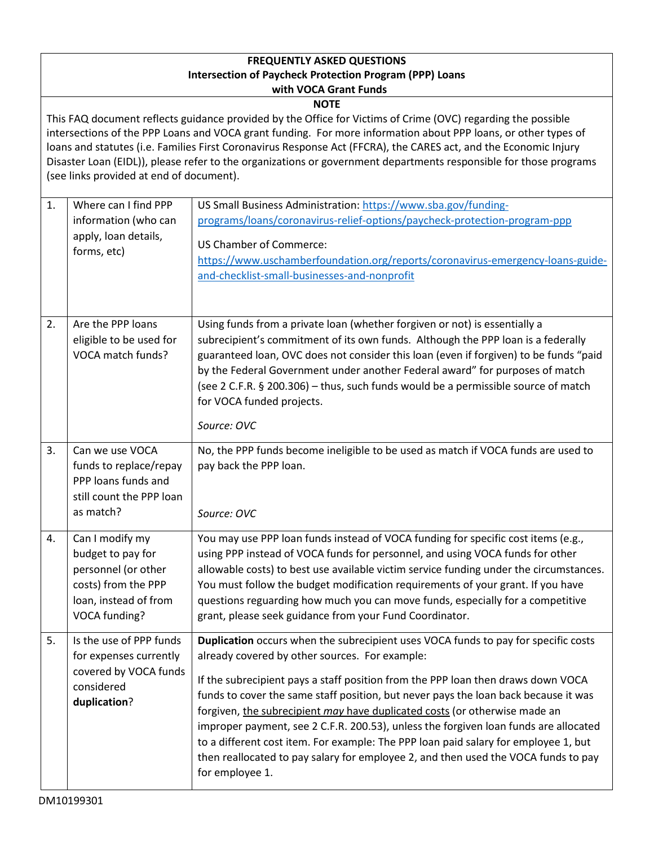## **FREQUENTLY ASKED QUESTIONS Intersection of Paycheck Protection Program (PPP) Loans with VOCA Grant Funds**

## **NOTE**

This FAQ document reflects guidance provided by the Office for Victims of Crime (OVC) regarding the possible intersections of the PPP Loans and VOCA grant funding. For more information about PPP loans, or other types of loans and statutes (i.e. Families First Coronavirus Response Act (FFCRA), the CARES act, and the Economic Injury Disaster Loan (EIDL)), please refer to the organizations or government departments responsible for those programs (see links provided at end of document).

| 1. | Where can I find PPP<br>information (who can<br>apply, loan details,<br>forms, etc)                                          | US Small Business Administration: https://www.sba.gov/funding-<br>programs/loans/coronavirus-relief-options/paycheck-protection-program-ppp<br><b>US Chamber of Commerce:</b><br>https://www.uschamberfoundation.org/reports/coronavirus-emergency-loans-guide-<br>and-checklist-small-businesses-and-nonprofit                                                                                                                                                                                                                                                                                                                                                                       |
|----|------------------------------------------------------------------------------------------------------------------------------|---------------------------------------------------------------------------------------------------------------------------------------------------------------------------------------------------------------------------------------------------------------------------------------------------------------------------------------------------------------------------------------------------------------------------------------------------------------------------------------------------------------------------------------------------------------------------------------------------------------------------------------------------------------------------------------|
| 2. | Are the PPP loans<br>eligible to be used for<br>VOCA match funds?                                                            | Using funds from a private loan (whether forgiven or not) is essentially a<br>subrecipient's commitment of its own funds. Although the PPP loan is a federally<br>guaranteed loan, OVC does not consider this loan (even if forgiven) to be funds "paid<br>by the Federal Government under another Federal award" for purposes of match<br>(see 2 C.F.R. § 200.306) - thus, such funds would be a permissible source of match<br>for VOCA funded projects.<br>Source: OVC                                                                                                                                                                                                             |
| 3. | Can we use VOCA<br>funds to replace/repay<br>PPP loans funds and<br>still count the PPP loan<br>as match?                    | No, the PPP funds become ineligible to be used as match if VOCA funds are used to<br>pay back the PPP loan.<br>Source: OVC                                                                                                                                                                                                                                                                                                                                                                                                                                                                                                                                                            |
| 4. | Can I modify my<br>budget to pay for<br>personnel (or other<br>costs) from the PPP<br>loan, instead of from<br>VOCA funding? | You may use PPP loan funds instead of VOCA funding for specific cost items (e.g.,<br>using PPP instead of VOCA funds for personnel, and using VOCA funds for other<br>allowable costs) to best use available victim service funding under the circumstances.<br>You must follow the budget modification requirements of your grant. If you have<br>questions reguarding how much you can move funds, especially for a competitive<br>grant, please seek guidance from your Fund Coordinator.                                                                                                                                                                                          |
| 5. | Is the use of PPP funds<br>for expenses currently<br>covered by VOCA funds<br>considered<br>duplication?                     | Duplication occurs when the subrecipient uses VOCA funds to pay for specific costs<br>already covered by other sources. For example:<br>If the subrecipient pays a staff position from the PPP loan then draws down VOCA<br>funds to cover the same staff position, but never pays the loan back because it was<br>forgiven, the subrecipient may have duplicated costs (or otherwise made an<br>improper payment, see 2 C.F.R. 200.53), unless the forgiven loan funds are allocated<br>to a different cost item. For example: The PPP loan paid salary for employee 1, but<br>then reallocated to pay salary for employee 2, and then used the VOCA funds to pay<br>for employee 1. |